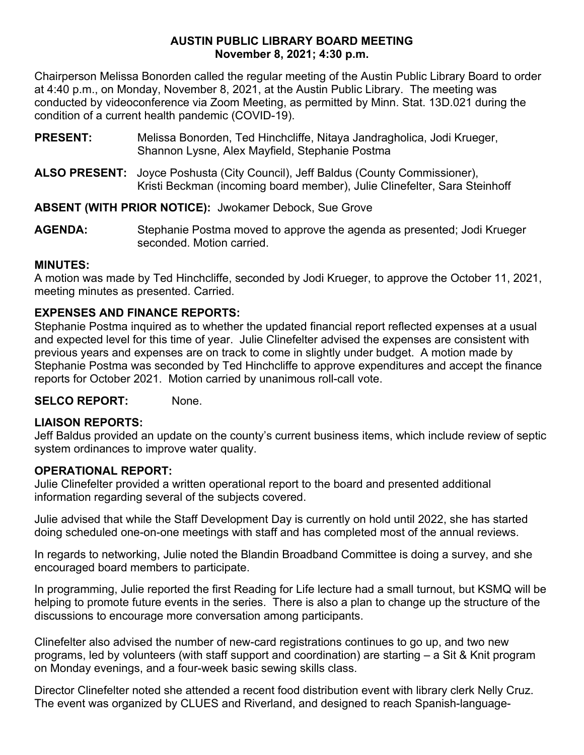### **AUSTIN PUBLIC LIBRARY BOARD MEETING November 8, 2021; 4:30 p.m.**

Chairperson Melissa Bonorden called the regular meeting of the Austin Public Library Board to order at 4:40 p.m., on Monday, November 8, 2021, at the Austin Public Library. The meeting was conducted by videoconference via Zoom Meeting, as permitted by Minn. Stat. 13D.021 during the condition of a current health pandemic (COVID-19).

- **PRESENT:** Melissa Bonorden, Ted Hinchcliffe, Nitaya Jandragholica, Jodi Krueger, Shannon Lysne, Alex Mayfield, Stephanie Postma
- **ALSO PRESENT:** Joyce Poshusta (City Council), Jeff Baldus (County Commissioner), Kristi Beckman (incoming board member), Julie Clinefelter, Sara Steinhoff

**ABSENT (WITH PRIOR NOTICE):** Jwokamer Debock, Sue Grove

**AGENDA:** Stephanie Postma moved to approve the agenda as presented; Jodi Krueger seconded. Motion carried.

## **MINUTES:**

A motion was made by Ted Hinchcliffe, seconded by Jodi Krueger, to approve the October 11, 2021, meeting minutes as presented. Carried.

# **EXPENSES AND FINANCE REPORTS:**

Stephanie Postma inquired as to whether the updated financial report reflected expenses at a usual and expected level for this time of year. Julie Clinefelter advised the expenses are consistent with previous years and expenses are on track to come in slightly under budget. A motion made by Stephanie Postma was seconded by Ted Hinchcliffe to approve expenditures and accept the finance reports for October 2021. Motion carried by unanimous roll-call vote.

**SELCO REPORT:** None.

# **LIAISON REPORTS:**

Jeff Baldus provided an update on the county's current business items, which include review of septic system ordinances to improve water quality.

# **OPERATIONAL REPORT:**

Julie Clinefelter provided a written operational report to the board and presented additional information regarding several of the subjects covered.

Julie advised that while the Staff Development Day is currently on hold until 2022, she has started doing scheduled one-on-one meetings with staff and has completed most of the annual reviews.

In regards to networking, Julie noted the Blandin Broadband Committee is doing a survey, and she encouraged board members to participate.

In programming, Julie reported the first Reading for Life lecture had a small turnout, but KSMQ will be helping to promote future events in the series. There is also a plan to change up the structure of the discussions to encourage more conversation among participants.

Clinefelter also advised the number of new-card registrations continues to go up, and two new programs, led by volunteers (with staff support and coordination) are starting – a Sit & Knit program on Monday evenings, and a four-week basic sewing skills class.

Director Clinefelter noted she attended a recent food distribution event with library clerk Nelly Cruz. The event was organized by CLUES and Riverland, and designed to reach Spanish-language-